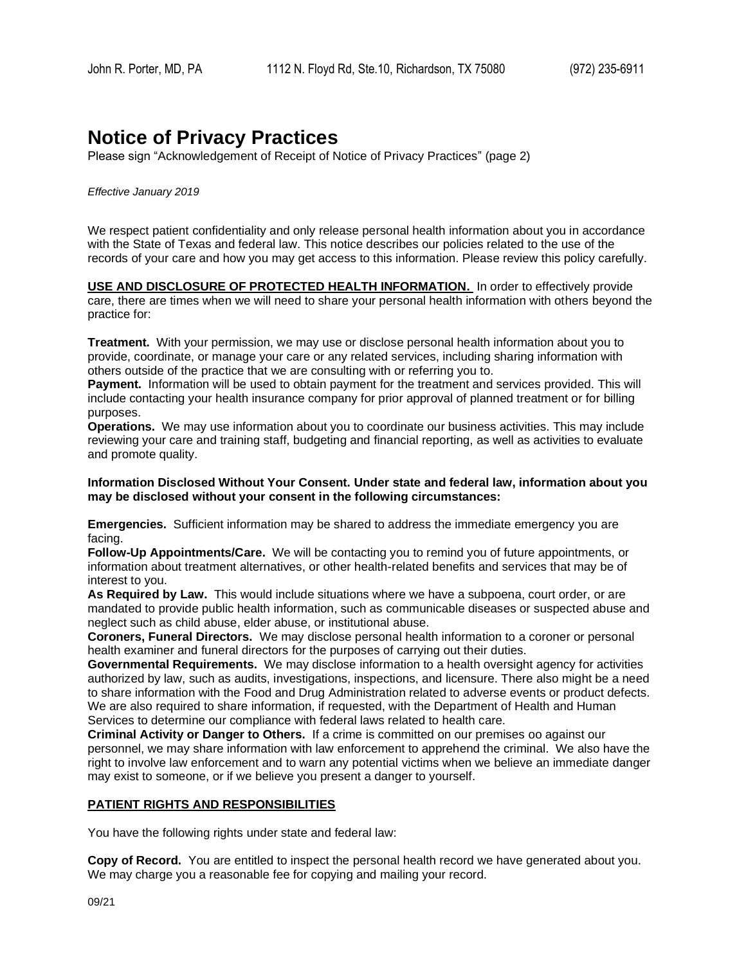# **Notice of Privacy Practices**

Please sign "Acknowledgement of Receipt of Notice of Privacy Practices" (page 2)

#### *Effective January 2019*

We respect patient confidentiality and only release personal health information about you in accordance with the State of Texas and federal law. This notice describes our policies related to the use of the records of your care and how you may get access to this information. Please review this policy carefully.

**USE AND DISCLOSURE OF PROTECTED HEALTH INFORMATION.** In order to effectively provide care, there are times when we will need to share your personal health information with others beyond the practice for:

**Treatment.** With your permission, we may use or disclose personal health information about you to provide, coordinate, or manage your care or any related services, including sharing information with others outside of the practice that we are consulting with or referring you to.

**Payment.** Information will be used to obtain payment for the treatment and services provided. This will include contacting your health insurance company for prior approval of planned treatment or for billing purposes.

**Operations.** We may use information about you to coordinate our business activities. This may include reviewing your care and training staff, budgeting and financial reporting, as well as activities to evaluate and promote quality.

#### **Information Disclosed Without Your Consent. Under state and federal law, information about you may be disclosed without your consent in the following circumstances:**

**Emergencies.** Sufficient information may be shared to address the immediate emergency you are facing.

**Follow-Up Appointments/Care.** We will be contacting you to remind you of future appointments, or information about treatment alternatives, or other health-related benefits and services that may be of interest to you.

**As Required by Law.** This would include situations where we have a subpoena, court order, or are mandated to provide public health information, such as communicable diseases or suspected abuse and neglect such as child abuse, elder abuse, or institutional abuse.

**Coroners, Funeral Directors.** We may disclose personal health information to a coroner or personal health examiner and funeral directors for the purposes of carrying out their duties.

**Governmental Requirements.** We may disclose information to a health oversight agency for activities authorized by law, such as audits, investigations, inspections, and licensure. There also might be a need to share information with the Food and Drug Administration related to adverse events or product defects. We are also required to share information, if requested, with the Department of Health and Human Services to determine our compliance with federal laws related to health care.

**Criminal Activity or Danger to Others.** If a crime is committed on our premises oo against our personnel, we may share information with law enforcement to apprehend the criminal. We also have the right to involve law enforcement and to warn any potential victims when we believe an immediate danger may exist to someone, or if we believe you present a danger to yourself.

### **PATIENT RIGHTS AND RESPONSIBILITIES**

You have the following rights under state and federal law:

**Copy of Record.** You are entitled to inspect the personal health record we have generated about you. We may charge you a reasonable fee for copying and mailing your record.